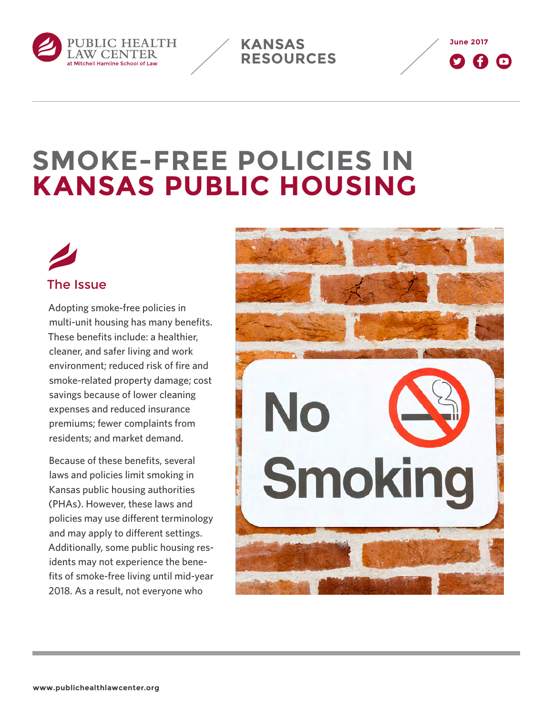

**June 2017**  $\boldsymbol{\Omega}$  a  $\boldsymbol{\Omega}$ 

# **SMOKE-FREE POLICIES IN KANSAS PUBLIC HOUSING**

**KANSAS** 

**RESOURCES**

# The Issue

Adopting smoke-free policies in multi-unit housing has many benefits. These benefits include: a healthier, cleaner, and safer living and work environment; reduced risk of fire and smoke-related property damage; cost savings because of lower cleaning expenses and reduced insurance premiums; fewer complaints from residents; and market demand.

Because of these benefits, several laws and policies limit smoking in Kansas public housing authorities (PHAs). However, these laws and policies may use different terminology and may apply to different settings. Additionally, some public housing residents may not experience the benefits of smoke-free living until mid-year 2018. As a result, not everyone who

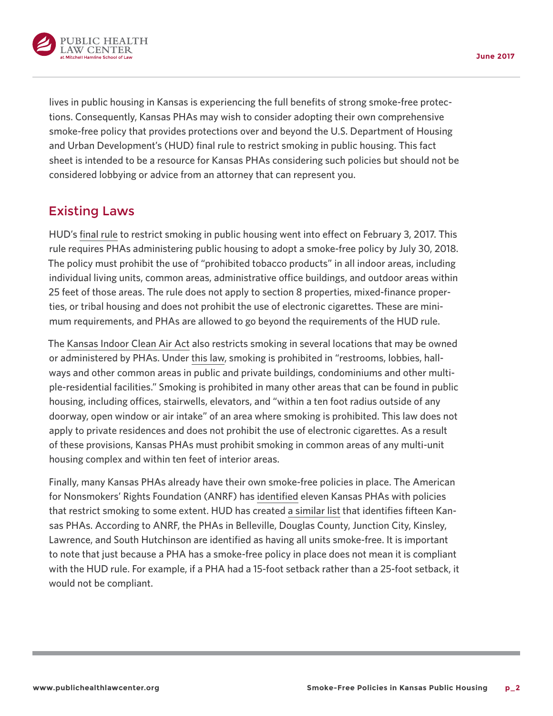

lives in public housing in Kansas is experiencing the full benefits of strong smoke-free protections. Consequently, Kansas PHAs may wish to consider adopting their own comprehensive smoke-free policy that provides protections over and beyond the U.S. Department of Housing and Urban Development's (HUD) final rule to restrict smoking in public housing. This fact sheet is intended to be a resource for Kansas PHAs considering such policies but should not be considered lobbying or advice from an attorney that can represent you.

### Existing Laws

HUD's [final rule](https://s3.amazonaws.com/public-inspection.federalregister.gov/2016-28986.pdf) to restrict smoking in public housing went into effect on February 3, 2017. This rule requires PHAs administering public housing to adopt a smoke-free policy by July 30, 2018. The policy must prohibit the use of "prohibited tobacco products" in all indoor areas, including individual living units, common areas, administrative office buildings, and outdoor areas within 25 feet of those areas. The rule does not apply to section 8 properties, mixed-finance properties, or tribal housing and does not prohibit the use of electronic cigarettes. These are minimum requirements, and PHAs are allowed to go beyond the requirements of the HUD rule.

The [Kansas Indoor Clean Air Act](http://kslegislature.org/li_2014/b2013_14/statute/021_000_0000_chapter/021_061_0000_article/021_061_0009_section/021_061_0009_k/) also restricts smoking in several locations that may be owned or administered by PHAs. Under [this law,](http://kslegislature.org/li_2014/b2013_14/statute/021_000_0000_chapter/021_061_0000_article/021_061_0010_section/021_061_0010_k/) smoking is prohibited in "restrooms, lobbies, hallways and other common areas in public and private buildings, condominiums and other multiple-residential facilities." Smoking is prohibited in many other areas that can be found in public housing, including offices, stairwells, elevators, and "within a ten foot radius outside of any doorway, open window or air intake" of an area where smoking is prohibited. This law does not apply to private residences and does not prohibit the use of electronic cigarettes. As a result of these provisions, Kansas PHAs must prohibit smoking in common areas of any multi-unit housing complex and within ten feet of interior areas.

Finally, many Kansas PHAs already have their own smoke-free policies in place. The American for Nonsmokers' Rights Foundation (ANRF) has [identified](http://www.no-smoke.org/pdf/smokefreemuh.pdf) eleven Kansas PHAs with policies that restrict smoking to some extent. HUD has created [a similar list](http://portal.hud.gov/hudportal/documents/huddoc?id=SmokeFree_PHAs_10_15.xlsx) that identifies fifteen Kansas PHAs. According to ANRF, the PHAs in Belleville, Douglas County, Junction City, Kinsley, Lawrence, and South Hutchinson are identified as having all units smoke-free. It is important to note that just because a PHA has a smoke-free policy in place does not mean it is compliant with the HUD rule. For example, if a PHA had a 15-foot setback rather than a 25-foot setback, it would not be compliant.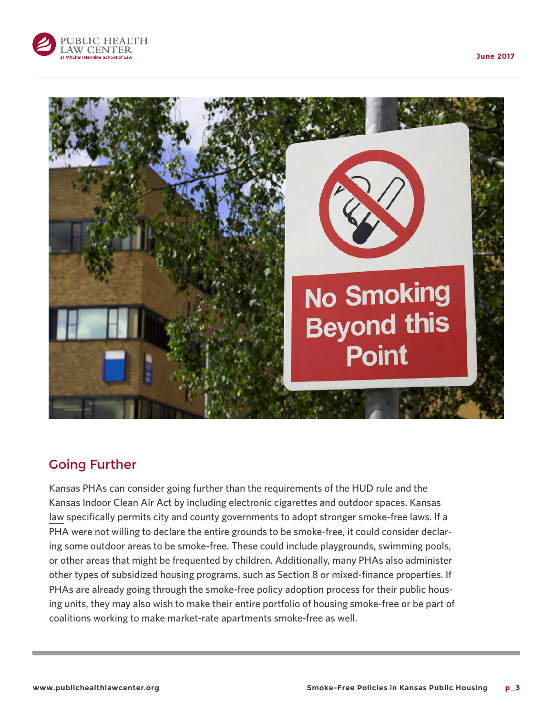



**Point** 

#### Going Further

Kansas PHAs can consider going further than the requirements of the HUD rule and the Kansas Indoor Clean Air Act by including electronic cigarettes and outdoor spaces. [Kansas](http://kslegislature.org/li_2014/b2013_14/statute/021_000_0000_chapter/021_061_0000_article/021_061_0014_section/021_061_0014_k/)  [law](http://kslegislature.org/li_2014/b2013_14/statute/021_000_0000_chapter/021_061_0000_article/021_061_0014_section/021_061_0014_k/) specifically permits city and county governments to adopt stronger smoke-free laws. If a PHA were not willing to declare the entire grounds to be smoke-free, it could consider declaring some outdoor areas to be smoke-free. These could include playgrounds, swimming pools, or other areas that might be frequented by children. Additionally, many PHAs also administer other types of subsidized housing programs, such as Section 8 or mixed-finance properties. If PHAs are already going through the smoke-free policy adoption process for their public housing units, they may also wish to make their entire portfolio of housing smoke-free or be part of coalitions working to make market-rate apartments smoke-free as well.